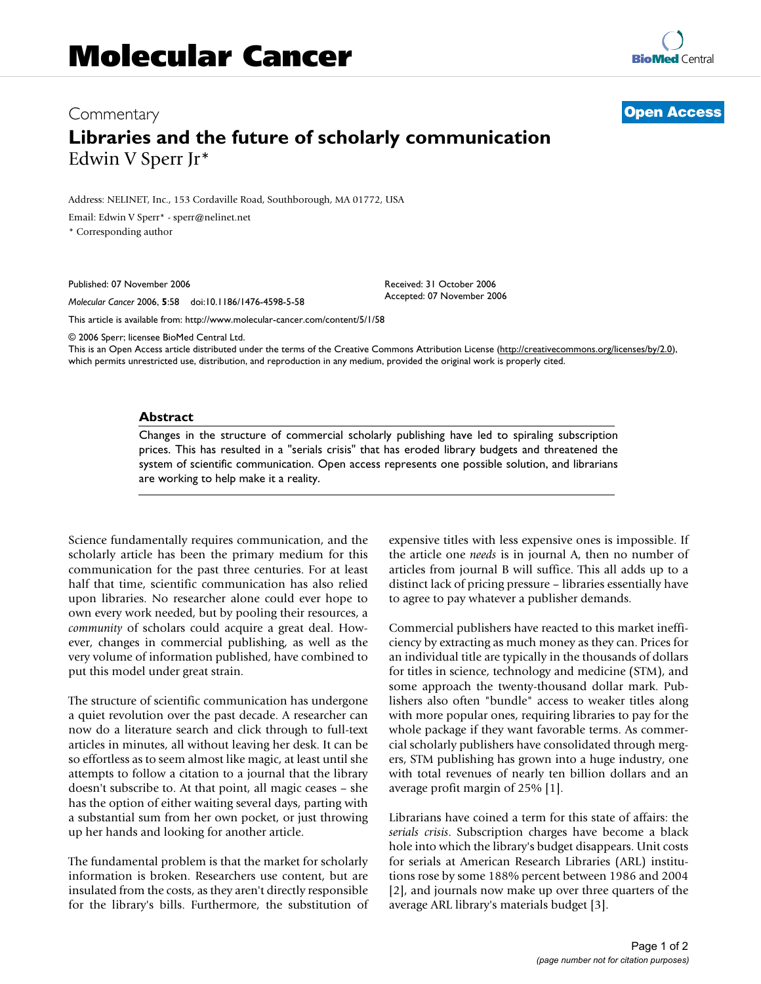## Commentary **[Open Access](http://www.biomedcentral.com/info/about/charter/) Libraries and the future of scholarly communication** Edwin V Sperr Jr\*

Address: NELINET, Inc., 153 Cordaville Road, Southborough, MA 01772, USA

Email: Edwin V Sperr\* - sperr@nelinet.net

\* Corresponding author

Published: 07 November 2006

*Molecular Cancer* 2006, **5**:58 doi:10.1186/1476-4598-5-58

[This article is available from: http://www.molecular-cancer.com/content/5/1/58](http://www.molecular-cancer.com/content/5/1/58)

© 2006 Sperr; licensee BioMed Central Ltd.

This is an Open Access article distributed under the terms of the Creative Commons Attribution License [\(http://creativecommons.org/licenses/by/2.0\)](http://creativecommons.org/licenses/by/2.0), which permits unrestricted use, distribution, and reproduction in any medium, provided the original work is properly cited.

Received: 31 October 2006 Accepted: 07 November 2006

## **Abstract**

Changes in the structure of commercial scholarly publishing have led to spiraling subscription prices. This has resulted in a "serials crisis" that has eroded library budgets and threatened the system of scientific communication. Open access represents one possible solution, and librarians are working to help make it a reality.

Science fundamentally requires communication, and the scholarly article has been the primary medium for this communication for the past three centuries. For at least half that time, scientific communication has also relied upon libraries. No researcher alone could ever hope to own every work needed, but by pooling their resources, a *community* of scholars could acquire a great deal. However, changes in commercial publishing, as well as the very volume of information published, have combined to put this model under great strain.

The structure of scientific communication has undergone a quiet revolution over the past decade. A researcher can now do a literature search and click through to full-text articles in minutes, all without leaving her desk. It can be so effortless as to seem almost like magic, at least until she attempts to follow a citation to a journal that the library doesn't subscribe to. At that point, all magic ceases – she has the option of either waiting several days, parting with a substantial sum from her own pocket, or just throwing up her hands and looking for another article.

The fundamental problem is that the market for scholarly information is broken. Researchers use content, but are insulated from the costs, as they aren't directly responsible for the library's bills. Furthermore, the substitution of expensive titles with less expensive ones is impossible. If the article one *needs* is in journal A, then no number of articles from journal B will suffice. This all adds up to a distinct lack of pricing pressure – libraries essentially have to agree to pay whatever a publisher demands.

Commercial publishers have reacted to this market inefficiency by extracting as much money as they can. Prices for an individual title are typically in the thousands of dollars for titles in science, technology and medicine (STM), and some approach the twenty-thousand dollar mark. Publishers also often "bundle" access to weaker titles along with more popular ones, requiring libraries to pay for the whole package if they want favorable terms. As commercial scholarly publishers have consolidated through mergers, STM publishing has grown into a huge industry, one with total revenues of nearly ten billion dollars and an average profit margin of 25% [1].

Librarians have coined a term for this state of affairs: the *serials crisis*. Subscription charges have become a black hole into which the library's budget disappears. Unit costs for serials at American Research Libraries (ARL) institutions rose by some 188% percent between 1986 and 2004 [2], and journals now make up over three quarters of the average ARL library's materials budget [3].